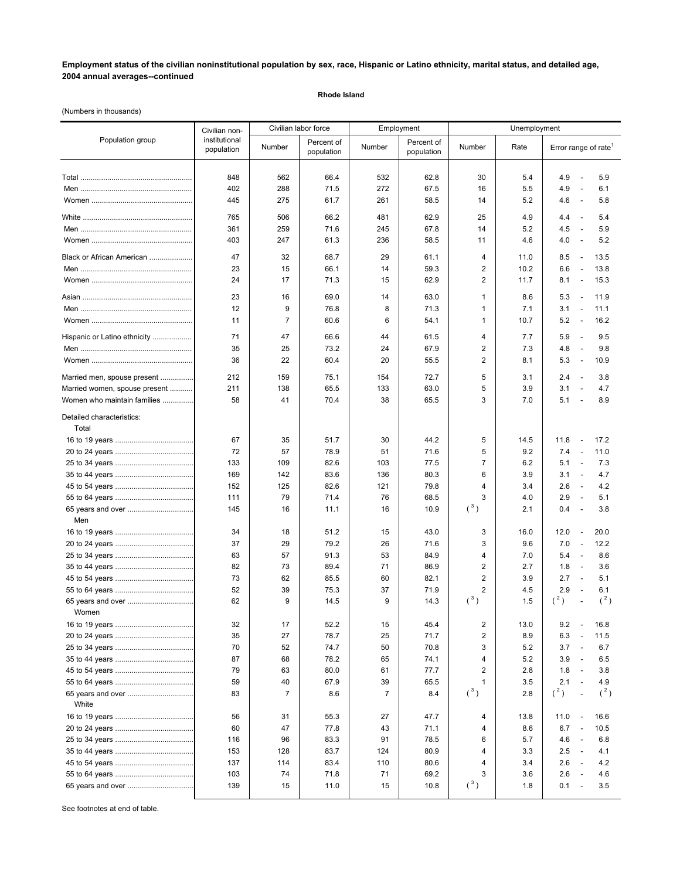## **Employment status of the civilian noninstitutional population by sex, race, Hispanic or Latino ethnicity, marital status, and detailed age, 2004 annual averages--continued**

**Rhode Island**

(Numbers in thousands)

| Population group                   | Civilian non-<br>institutional<br>population | Civilian labor force |                          | Employment     |                          | Unemployment      |            |                                                                                  |
|------------------------------------|----------------------------------------------|----------------------|--------------------------|----------------|--------------------------|-------------------|------------|----------------------------------------------------------------------------------|
|                                    |                                              | Number               | Percent of<br>population | Number         | Percent of<br>population | Number            | Rate       | Error range of rate <sup>1</sup>                                                 |
|                                    | 848                                          | 562                  | 66.4                     | 532            | 62.8                     | 30                | 5.4        | 4.9<br>5.9<br>$\overline{\phantom{a}}$                                           |
|                                    | 402                                          | 288                  | 71.5                     | 272            | 67.5                     | 16                | 5.5        | 4.9<br>$\overline{\phantom{a}}$<br>6.1                                           |
|                                    | 445                                          | 275                  | 61.7                     | 261            | 58.5                     | 14                | 5.2        | 4.6<br>5.8<br>$\overline{\phantom{a}}$                                           |
|                                    | 765                                          | 506                  | 66.2                     | 481            | 62.9                     | 25                | 4.9        | 4.4<br>$\overline{\phantom{a}}$<br>5.4                                           |
|                                    | 361                                          | 259                  | 71.6                     | 245            | 67.8                     | 14                | 5.2        | 4.5<br>5.9<br>$\overline{\phantom{a}}$                                           |
|                                    | 403                                          | 247                  | 61.3                     | 236            | 58.5                     | 11                | 4.6        | 5.2<br>4.0<br>$\overline{\phantom{a}}$                                           |
| Black or African American          | 47                                           | 32                   | 68.7                     | 29             | 61.1                     | 4                 | 11.0       | 8.5<br>13.5<br>$\overline{\phantom{a}}$                                          |
|                                    | 23                                           | 15                   | 66.1                     | 14             | 59.3                     | $\overline{2}$    | 10.2       | 6.6<br>13.8<br>$\overline{\phantom{a}}$                                          |
|                                    | 24                                           | 17                   | 71.3                     | 15             | 62.9                     | 2                 | 11.7       | 8.1<br>15.3<br>$\overline{\phantom{a}}$                                          |
|                                    | 23                                           | 16                   | 69.0                     | 14             | 63.0                     | 1                 | 8.6        | 5.3<br>11.9<br>$\overline{\phantom{a}}$                                          |
|                                    | 12                                           | 9                    | 76.8                     | 8              | 71.3                     | 1                 | 7.1        | 3.1<br>11.1<br>$\overline{\phantom{a}}$                                          |
|                                    | 11                                           | $\overline{7}$       | 60.6                     | 6              | 54.1                     | 1                 | 10.7       | 5.2<br>16.2<br>$\overline{\phantom{a}}$                                          |
| Hispanic or Latino ethnicity       | 71                                           | 47                   | 66.6                     | 44             | 61.5                     | 4                 | 7.7        | 5.9<br>9.5<br>$\overline{\phantom{a}}$                                           |
|                                    | 35                                           | 25                   | 73.2                     | 24             | 67.9                     | 2                 | 7.3        | 4.8<br>9.8<br>$\overline{\phantom{a}}$                                           |
|                                    | 36                                           | 22                   | 60.4                     | 20             | 55.5                     | 2                 | 8.1        | 5.3<br>10.9<br>$\overline{\phantom{a}}$                                          |
| Married men, spouse present        | 212                                          | 159                  | 75.1                     | 154            | 72.7                     | 5                 | 3.1        | 2.4<br>3.8<br>$\overline{\phantom{a}}$                                           |
| Married women, spouse present      | 211                                          | 138                  | 65.5                     | 133            | 63.0                     | 5                 | 3.9        | 3.1<br>4.7<br>$\overline{\phantom{a}}$                                           |
| Women who maintain families        | 58                                           | 41                   | 70.4                     | 38             | 65.5                     | 3                 | 7.0        | 5.1<br>8.9<br>$\overline{\phantom{a}}$                                           |
| Detailed characteristics:<br>Total |                                              |                      |                          |                |                          |                   |            |                                                                                  |
|                                    | 67                                           | 35                   | 51.7                     | 30             | 44.2                     | 5                 | 14.5       | 11.8<br>17.2<br>$\overline{\phantom{a}}$                                         |
|                                    | 72                                           | 57                   | 78.9                     | 51             | 71.6                     | 5                 | 9.2        | 7.4<br>11.0<br>$\overline{\phantom{a}}$                                          |
|                                    | 133                                          | 109                  | 82.6                     | 103            | 77.5                     | $\overline{7}$    | 6.2        | 5.1<br>7.3<br>$\overline{\phantom{a}}$                                           |
|                                    | 169                                          | 142                  | 83.6                     | 136            | 80.3                     | 6                 | 3.9        | 3.1<br>4.7<br>$\overline{\phantom{a}}$                                           |
|                                    | 152                                          | 125                  | 82.6                     | 121            | 79.8                     | 4                 | 3.4        | 2.6<br>4.2<br>$\overline{\phantom{a}}$                                           |
|                                    | 111                                          | 79                   | 71.4                     | 76             | 68.5                     | 3                 | 4.0        | 2.9<br>$\overline{\phantom{a}}$<br>5.1                                           |
| Men                                | 145                                          | 16                   | 11.1                     | 16             | 10.9                     | $(^3)$            | 2.1        | 0.4<br>3.8<br>$\overline{a}$                                                     |
|                                    | 34                                           | 18                   | 51.2                     | 15             | 43.0                     | 3                 | 16.0       | 12.0<br>20.0<br>$\blacksquare$                                                   |
|                                    | 37                                           | 29                   | 79.2                     | 26             | 71.6                     | 3                 | 9.6        | 7.0<br>12.2<br>$\overline{\phantom{a}}$                                          |
|                                    | 63                                           | 57                   | 91.3                     | 53             | 84.9                     | 4                 | 7.0        | 5.4<br>$\overline{\phantom{a}}$<br>8.6                                           |
|                                    | 82                                           | 73                   | 89.4                     | 71             | 86.9                     | 2                 | 2.7        | 1.8<br>3.6<br>$\overline{\phantom{a}}$                                           |
|                                    | 73                                           | 62                   | 85.5                     | 60             | 82.1                     | 2                 | 3.9        | 2.7<br>5.1<br>$\overline{\phantom{a}}$                                           |
|                                    | 52                                           | 39                   | 75.3                     | 37             | 71.9                     | $\overline{2}$    | 4.5        | 2.9<br>6.1<br>$\overline{\phantom{a}}$                                           |
| 65 years and over                  | 62                                           | 9                    | 14.5                     | 9              | 14.3                     | $(^3)$            | 1.5        | $(^2)$<br>$(^2)$                                                                 |
| Women                              |                                              |                      |                          |                |                          |                   |            |                                                                                  |
|                                    | 32                                           | 17                   | 52.2                     | 15             | 45.4                     | 2                 | 13.0       | 9.2<br>16.8<br>$\overline{\phantom{a}}$                                          |
|                                    | 35                                           | 27                   | 78.7                     | 25             | 71.7                     | 2                 | 8.9        | 6.3<br>11.5<br>$\overline{\phantom{a}}$                                          |
|                                    | 70                                           | 52                   | 74.7                     | 50             | 70.8                     | 3                 | 5.2        | 3.7<br>6.7<br>$\overline{\phantom{a}}$                                           |
|                                    | 87<br>79                                     | 68                   | 78.2                     | 65             | 74.1                     | 4                 | 5.2        | 3.9<br>6.5<br>$\overline{\phantom{a}}$                                           |
|                                    | 59                                           | 63<br>40             | 80.0<br>67.9             | 61<br>39       | 77.7<br>65.5             | 2<br>$\mathbf{1}$ | 2.8        | 1.8<br>3.8<br>$\overline{\phantom{a}}$<br>2.1<br>4.9<br>$\overline{\phantom{a}}$ |
| 65 years and over                  | 83                                           | $\overline{7}$       | 8.6                      | $\overline{7}$ | 8.4                      | $(^3)$            | 3.5<br>2.8 | $(^{2})$<br>$(^2)$<br>$\overline{\phantom{a}}$                                   |
| White                              |                                              |                      |                          |                |                          |                   |            |                                                                                  |
|                                    | 56                                           | 31                   | 55.3                     | 27             | 47.7                     | 4                 | 13.8       | 11.0<br>16.6<br>$\overline{\phantom{a}}$                                         |
|                                    | 60                                           | 47                   | 77.8                     | 43             | 71.1                     | 4                 | 8.6        | 6.7<br>10.5<br>$\overline{\phantom{a}}$                                          |
|                                    | 116                                          | 96                   | 83.3                     | 91             | 78.5                     | 6                 | 5.7        | 4.6<br>6.8<br>$\overline{\phantom{a}}$                                           |
|                                    | 153                                          | 128                  | 83.7                     | 124            | 80.9                     | $\overline{4}$    | 3.3        | 2.5<br>4.1<br>$\overline{\phantom{a}}$                                           |
|                                    | 137                                          | 114                  | 83.4                     | 110            | 80.6                     | 4                 | 3.4        | 2.6<br>4.2<br>$\overline{\phantom{a}}$                                           |
|                                    | 103                                          | 74                   | 71.8                     | 71             | 69.2                     | 3                 | 3.6        | 2.6<br>4.6<br>$\overline{\phantom{a}}$                                           |
| 65 years and over                  | 139                                          | 15                   | 11.0                     | 15             | 10.8                     | $(^3)$            | 1.8        | 0.1<br>3.5<br>$\overline{a}$                                                     |

See footnotes at end of table.